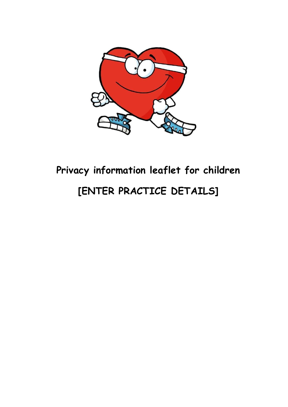

# **Privacy information leaflet for children [ENTER PRACTICE DETAILS]**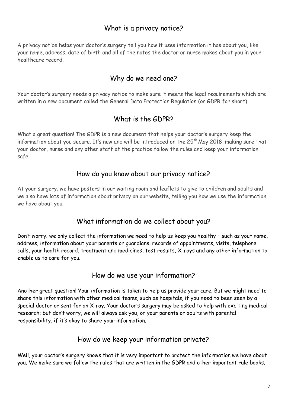## What is a privacy notice?

 A privacy notice helps your doctor's surgery tell you how it uses information it has about you, like your name, address, date of birth and all of the notes the doctor or nurse makes about you in your healthcare record.

#### Why do we need one?

 Your doctor's surgery needs a privacy notice to make sure it meets the legal requirements which are written in a new document called the General Data Protection Regulation (or GDPR for short).

## What is the GDPR?

 What a great question! The GDPR is a new document that helps your doctor's surgery keep the information about you secure. It's new and will be introduced on the 25 $^{\rm th}$  May 2018, making sure that your doctor, nurse and any other staff at the practice follow the rules and keep your information safe.

#### How do you know about our privacy notice?

 At your surgery, we have posters in our waiting room and leaflets to give to children and adults and we also have lots of information about privacy on our website, telling you how we use the information we have about you.

#### What information do we collect about you?

 Don't worry; we only collect the information we need to help us keep you healthy – such as your name, address, information about your parents or guardians, records of appointments, visits, telephone calls, your health record, treatment and medicines, test results, X-rays and any other information to enable us to care for you.

#### How do we use your information?

 Another great question! Your information is taken to help us provide your care. But we might need to share this information with other medical teams, such as hospitals, if you need to been seen by a special doctor or sent for an X-ray. Your doctor's surgery may be asked to help with exciting medical research; but don't worry, we will always ask you, or your parents or adults with parental responsibility, if it's okay to share your information.

#### How do we keep your information private?

 Well, your doctor's surgery knows that it is very important to protect the information we have about you. We make sure we follow the rules that are written in the GDPR and other important rule books.